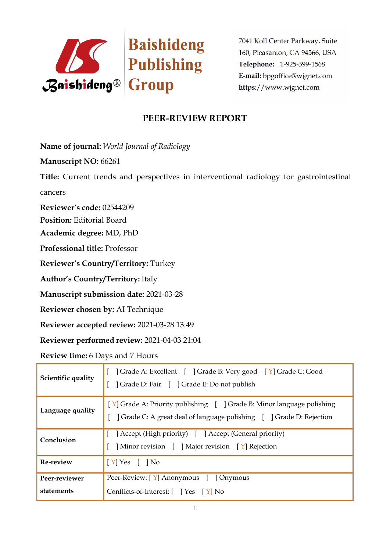

# **PEER-REVIEW REPORT**

**Name of journal:** *World Journal of Radiology* 

**Manuscript NO:** 66261

**Title:** Current trends and perspectives in interventional radiology for gastrointestinal cancers

**Reviewer's code:** 02544209

**Position:** Editorial Board

**Academic degree:** MD, PhD

**Professional title:** Professor

**Reviewer's Country/Territory:** Turkey

**Author's Country/Territory:** Italy

**Manuscript submission date:** 2021-03-28

**Reviewer chosen by:** AI Technique

**Reviewer accepted review:** 2021-03-28 13:49

**Reviewer performed review:** 2021-04-03 21:04

**Review time:** 6 Days and 7 Hours

| Scientific quality          | ] Grade A: Excellent [ ] Grade B: Very good [ Y] Grade C: Good<br>] Grade D: Fair [ ] Grade E: Do not publish                                |  |
|-----------------------------|----------------------------------------------------------------------------------------------------------------------------------------------|--|
| Language quality            | [Y] Grade A: Priority publishing [ ] Grade B: Minor language polishing<br>Crade C: A great deal of language polishing [ ] Grade D: Rejection |  |
| Conclusion                  | Accept (High priority) [ ] Accept (General priority)<br>] Minor revision [ ] Major revision [ Y] Rejection                                   |  |
| Re-review                   | $[Y]$ Yes $[$ $]$ No                                                                                                                         |  |
| Peer-reviewer<br>statements | Peer-Review: [Y] Anonymous [ ] Onymous<br>Conflicts-of-Interest: [ ] Yes [Y] No                                                              |  |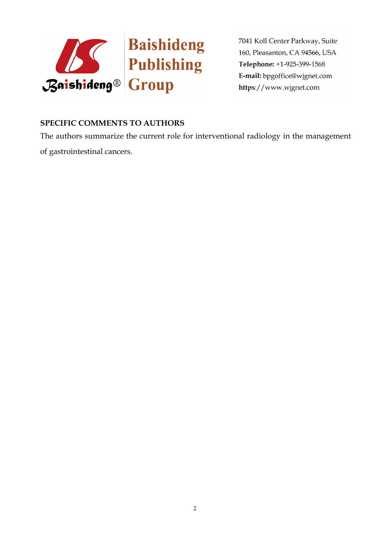

#### **SPECIFIC COMMENTS TO AUTHORS**

The authors summarize the current role for interventional radiology in the management of gastrointestinal cancers.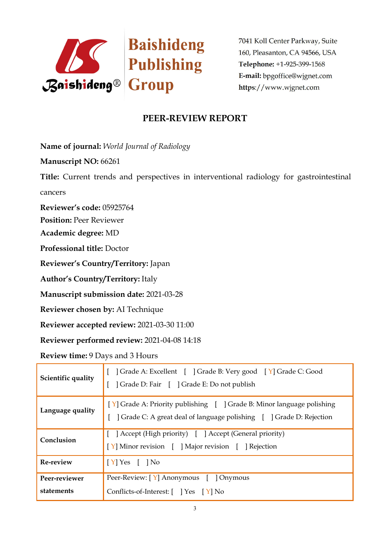

# **PEER-REVIEW REPORT**

**Name of journal:** *World Journal of Radiology* 

**Manuscript NO:** 66261

**Title:** Current trends and perspectives in interventional radiology for gastrointestinal cancers

**Reviewer's code:** 05925764

**Position:** Peer Reviewer

**Academic degree:** MD

**Professional title:** Doctor

**Reviewer's Country/Territory:** Japan

**Author's Country/Territory:** Italy

**Manuscript submission date:** 2021-03-28

**Reviewer chosen by:** AI Technique

**Reviewer accepted review:** 2021-03-30 11:00

**Reviewer performed review:** 2021-04-08 14:18

**Review time:** 9 Days and 3 Hours

| Scientific quality          | Crade A: Excellent [ ] Grade B: Very good [ Y] Grade C: Good<br>] Grade D: Fair [ ] Grade E: Do not publish                                  |  |
|-----------------------------|----------------------------------------------------------------------------------------------------------------------------------------------|--|
| Language quality            | [Y] Grade A: Priority publishing [ ] Grade B: Minor language polishing<br>Crade C: A great deal of language polishing [ ] Grade D: Rejection |  |
| Conclusion                  | [ ] Accept (High priority) [ ] Accept (General priority)<br>[Y] Minor revision [ ] Major revision [ ] Rejection                              |  |
| Re-review                   | $[Y]$ Yes $[$ $]$ No                                                                                                                         |  |
| Peer-reviewer<br>statements | Peer-Review: [Y] Anonymous [ ] Onymous<br>Conflicts-of-Interest: [ ] Yes [Y] No                                                              |  |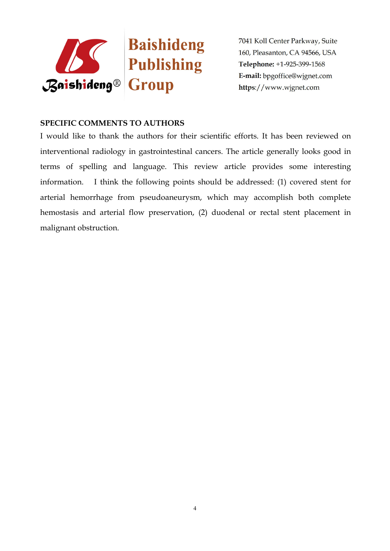

#### **SPECIFIC COMMENTS TO AUTHORS**

I would like to thank the authors for their scientific efforts. It has been reviewed on interventional radiology in gastrointestinal cancers. The article generally looks good in terms of spelling and language. This review article provides some interesting information. I think the following points should be addressed: (1) covered stent for arterial hemorrhage from pseudoaneurysm, which may accomplish both complete hemostasis and arterial flow preservation, (2) duodenal or rectal stent placement in malignant obstruction.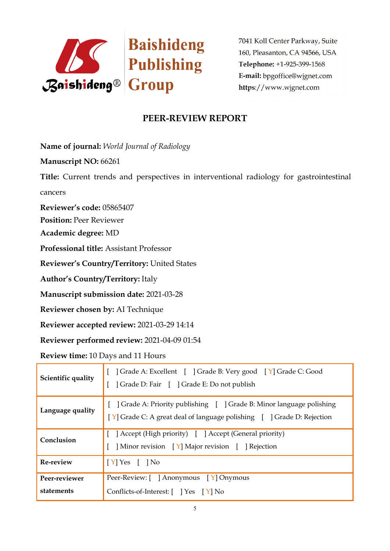

# **PEER-REVIEW REPORT**

**Name of journal:** *World Journal of Radiology* 

**Manuscript NO:** 66261

**Title:** Current trends and perspectives in interventional radiology for gastrointestinal cancers

**Reviewer's code:** 05865407

**Position:** Peer Reviewer

**Academic degree:** MD

**Professional title:** Assistant Professor

**Reviewer's Country/Territory:** United States

**Author's Country/Territory:** Italy

**Manuscript submission date:** 2021-03-28

**Reviewer chosen by:** AI Technique

**Reviewer accepted review:** 2021-03-29 14:14

**Reviewer performed review:** 2021-04-09 01:54

**Review time:** 10 Days and 11 Hours

| Scientific quality          | ] Grade A: Excellent [ ] Grade B: Very good [ Y] Grade C: Good<br>] Grade D: Fair [ ] Grade E: Do not publish                                |  |
|-----------------------------|----------------------------------------------------------------------------------------------------------------------------------------------|--|
| Language quality            | Grade A: Priority publishing [ ] Grade B: Minor language polishing<br>[Y] Grade C: A great deal of language polishing [ ] Grade D: Rejection |  |
| Conclusion                  | Accept (High priority) [ ] Accept (General priority)<br>Minor revision [Y] Major revision [ ] Rejection                                      |  |
| Re-review                   | $[Y]$ Yes $[$ $]$ No                                                                                                                         |  |
| Peer-reviewer<br>statements | Peer-Review: [ ] Anonymous [ Y] Onymous<br>Conflicts-of-Interest: [ ] Yes [Y] No                                                             |  |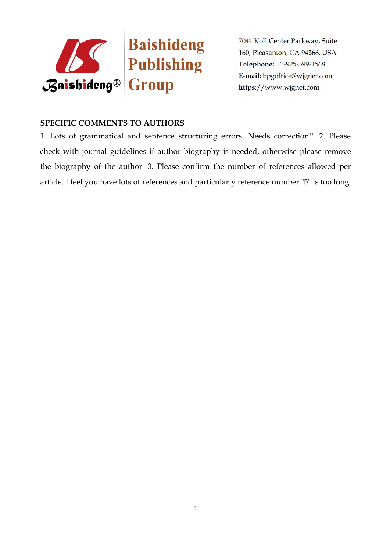

#### **SPECIFIC COMMENTS TO AUTHORS**

1. Lots of grammatical and sentence structuring errors. Needs correction!! 2. Please check with journal guidelines if author biography is needed, otherwise please remove the biography of the author 3. Please confirm the number of references allowed per article. I feel you have lots of references and particularly reference number "5" is too long.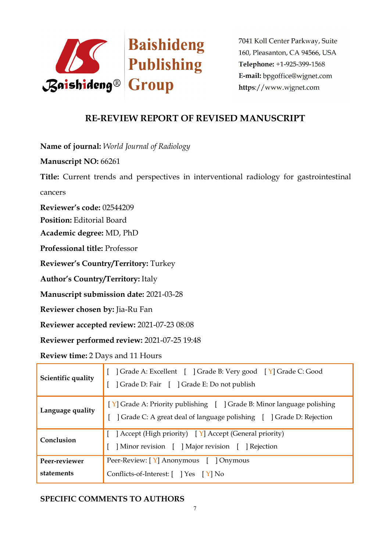

### **RE-REVIEW REPORT OF REVISED MANUSCRIPT**

**Name of journal:** *World Journal of Radiology* 

**Manuscript NO:** 66261

**Title:** Current trends and perspectives in interventional radiology for gastrointestinal cancers

**Reviewer's code:** 02544209

**Position:** Editorial Board

**Academic degree:** MD, PhD

**Professional title:** Professor

**Reviewer's Country/Territory:** Turkey

**Author's Country/Territory:** Italy

**Manuscript submission date:** 2021-03-28

**Reviewer chosen by:** Jia-Ru Fan

**Reviewer accepted review:** 2021-07-23 08:08

**Reviewer performed review:** 2021-07-25 19:48

**Review time:** 2 Days and 11 Hours

| Scientific quality | ] Grade A: Excellent [ ] Grade B: Very good [ Y] Grade C: Good<br>  Grade D: Fair [ ] Grade E: Do not publish                                |
|--------------------|----------------------------------------------------------------------------------------------------------------------------------------------|
| Language quality   | [Y] Grade A: Priority publishing [ ] Grade B: Minor language polishing<br>Crade C: A great deal of language polishing [ ] Grade D: Rejection |
| Conclusion         | [ Accept (High priority) [ Y] Accept (General priority)<br>Minor revision [ ] Major revision [ ] Rejection                                   |
| Peer-reviewer      | Peer-Review: [Y] Anonymous [ ] Onymous                                                                                                       |
| statements         | Conflicts-of-Interest: [ ] Yes [ Y] No                                                                                                       |

#### **SPECIFIC COMMENTS TO AUTHORS**